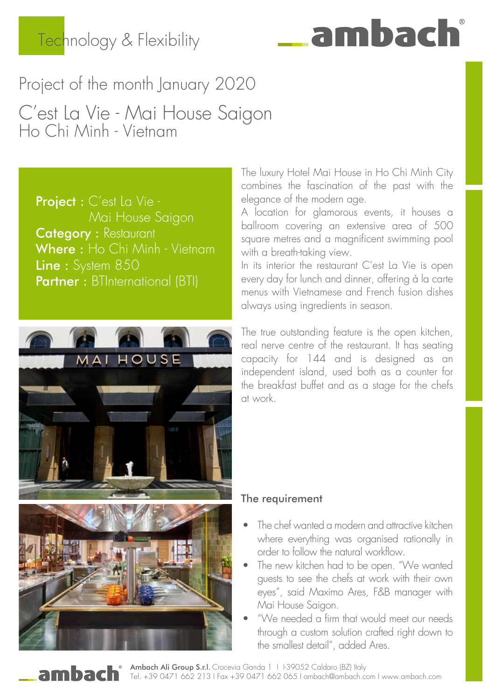### Technology & Flexibility

# ambac

### Project of the month January 2020 C'est La Vie - Mai House Saigon Ho Chi Minh - Vietnam

Project : C'est La Vie - Mai House Saigon **Category** : Restaurant Where: Ho Chi Minh - Vietnam Line : System 850 Partner : BTInternational (BTI)



The luxury Hotel Mai House in Ho Chi Minh City combines the fascination of the past with the elegance of the modern age.

A location for glamorous events, it houses a ballroom covering an extensive area of 500 square metres and a magnificent swimming pool with a breath-taking view.

In its interior the restaurant C'est La Vie is open every day for lunch and dinner, offering à la carte menus with Vietnamese and French fusion dishes always using ingredients in season.

The true outstanding feature is the open kitchen, real nerve centre of the restaurant. It has seating capacity for 144 and is designed as an independent island, used both as a counter for the breakfast buffet and as a stage for the chefs at work.

#### The requirement

- The chef wanted a modern and attractive kitchen where everything was organised rationally in order to follow the natural workflow.
- The new kitchen had to be open. "We wanted guests to see the chefs at work with their own eyes", said Maximo Ares, F&B manager with Mai House Saigon.
- "We needed a firm that would meet our needs through a custom solution crafted right down to the smallest detail", added Ares.

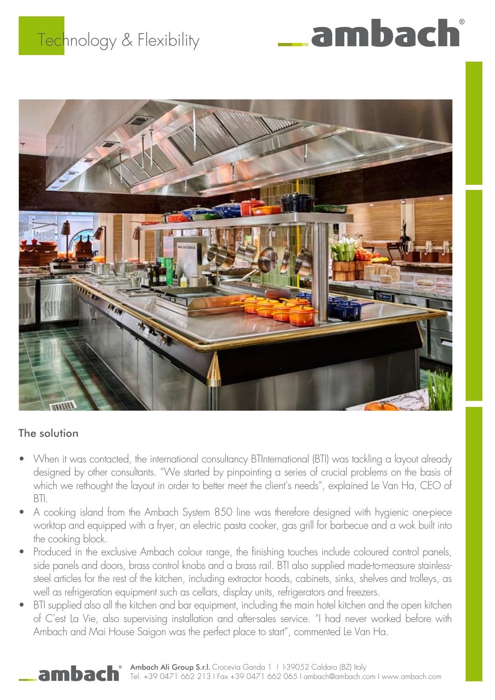## Technology & Flexibility





#### The solution

- • When it was contacted, the international consultancy BTInternational (BTI) was tackling a layout already designed by other consultants. "We started by pinpointing a series of crucial problems on the basis of which we rethought the layout in order to better meet the client's needs", explained Le Van Ha, CEO of BTI.
- A cooking island from the Ambach System 850 line was therefore designed with hygienic one-piece worktop and equipped with a fryer, an electric pasta cooker, gas grill for barbecue and a wok built into the cooking block.
- Produced in the exclusive Ambach colour range, the finishing touches include coloured control panels, side panels and doors, brass control knobs and a brass rail. BTI also supplied made-to-measure stainlesssteel articles for the rest of the kitchen, including extractor hoods, cabinets, sinks, shelves and trolleys, as well as refrigeration equipment such as cellars, display units, refrigerators and freezers.
- BTI supplied also all the kitchen and bar equipment, including the main hotel kitchen and the open kitchen of C'est La Vie, also supervising installation and after-sales service. "I had never worked before with Ambach and Mai House Saigon was the perfect place to start", commented Le Van Ha.